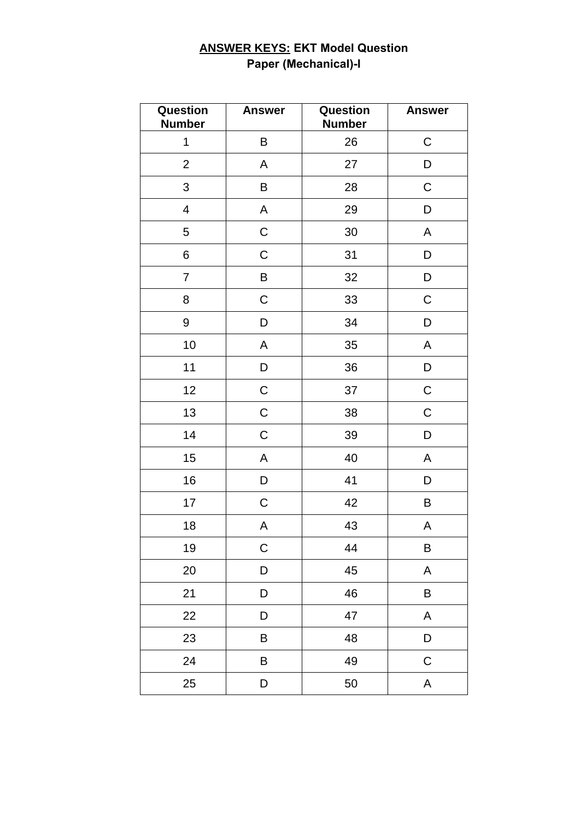### **ANSWER KEYS: EKT Model Question Paper (Mechanical)-I**

| Question<br><b>Number</b> | <b>Answer</b> | Question<br><b>Number</b> | <b>Answer</b> |
|---------------------------|---------------|---------------------------|---------------|
| $\mathbf 1$               | B             | 26                        | ${\bf C}$     |
| $\overline{2}$            | А             | 27                        | D             |
| $\mathfrak{S}$            | В             | 28                        | $\mathsf C$   |
| $\overline{\mathbf{4}}$   | А             | 29                        | D             |
| 5                         | $\mathsf C$   | 30                        | A             |
| 6                         | $\mathsf C$   | 31                        | D             |
| $\overline{7}$            | B             | 32                        | D             |
| 8                         | $\mathsf C$   | 33                        | $\mathsf C$   |
| 9                         | D             | 34                        | D             |
| $10$                      | Α             | 35                        | A             |
| 11                        | D             | 36                        | D             |
| 12                        | $\mathsf C$   | 37                        | $\mathsf C$   |
| 13                        | $\mathsf C$   | 38                        | $\mathsf C$   |
| 14                        | $\mathsf C$   | 39                        | D             |
| 15                        | A             | 40                        | A             |
| 16                        | D             | 41                        | D             |
| 17                        | $\mathsf C$   | 42                        | B             |
| 18                        | A             | 43                        | Α             |
| 19                        | $\mathsf C$   | 44                        | B             |
| 20                        | D             | 45                        | A             |
| 21                        | D             | 46                        | B             |
| 22                        | D             | 47                        | A             |
| 23                        | B             | 48                        | D             |
| 24                        | B             | 49                        | ${\bf C}$     |
| 25                        | D             | 50                        | A             |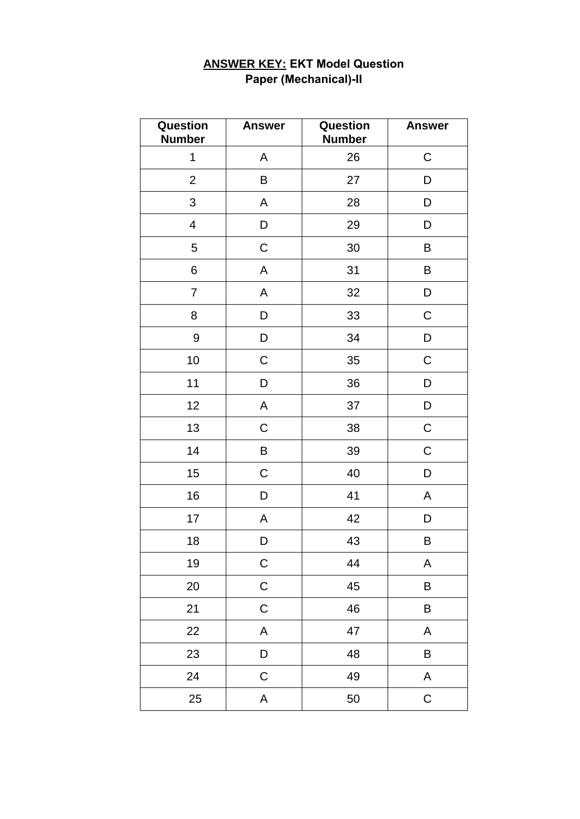| Question<br><b>Number</b> | <b>Answer</b> | Question<br><b>Number</b> | <b>Answer</b> |
|---------------------------|---------------|---------------------------|---------------|
| $\mathbf 1$               | А             | 26                        | $\mathsf C$   |
| $\overline{2}$            | B             | 27                        | D             |
| 3                         | A             | 28                        | D             |
| $\overline{\mathbf{4}}$   | D             | 29                        | D             |
| 5                         | $\mathsf C$   | 30                        | B             |
| 6                         | A             | 31                        | B             |
| $\overline{7}$            | A             | 32                        | D             |
| 8                         | D             | 33                        | C             |
| 9                         | D             | 34                        | D             |
| 10                        | $\mathsf C$   | 35                        | $\mathsf C$   |
| 11                        | D             | 36                        | D             |
| 12                        | A             | 37                        | D             |
| 13                        | $\mathsf C$   | 38                        | ${\mathsf C}$ |
| 14                        | B             | 39                        | $\mathsf C$   |
| 15                        | C             | 40                        | D             |
| 16                        | D             | 41                        | A             |
| 17                        | A             | 42                        | D             |
| 18                        | D             | 43                        | B             |
| 19                        | $\mathsf C$   | 44                        | A             |
| 20                        | $\mathsf C$   | 45                        | B             |
| 21                        | $\mathsf C$   | 46                        | B             |
| 22                        | A             | 47                        | A             |
| 23                        | D             | 48                        | B             |
| 24                        | $\mathsf C$   | 49                        | $\mathsf A$   |
| 25                        | A             | 50                        | $\mathsf C$   |

## **ANSWER KEY: EKT Model Question Paper (Mechanical)-II**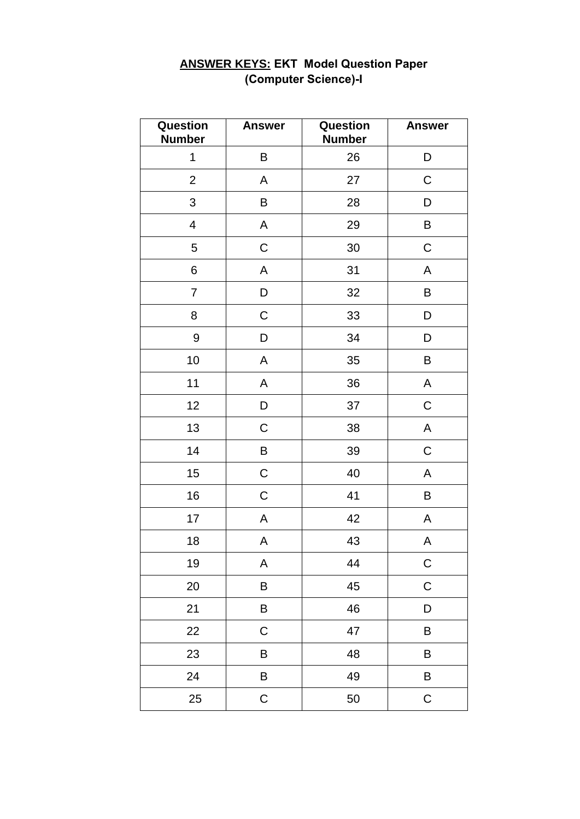| Question<br><b>Number</b> | <b>Answer</b> | Question<br><b>Number</b> | <b>Answer</b> |
|---------------------------|---------------|---------------------------|---------------|
| $\mathbf 1$               | B             | 26                        | D             |
| $\overline{2}$            | Α             | 27                        | $\mathsf C$   |
| 3                         | B             | 28                        | D             |
| $\overline{\mathcal{A}}$  | A             | 29                        | B             |
| 5                         | $\mathsf C$   | 30                        | $\mathsf C$   |
| $\,6$                     | A             | 31                        | A             |
| $\overline{7}$            | D             | 32                        | B             |
| 8                         | $\mathsf C$   | 33                        | D             |
| $\boldsymbol{9}$          | D             | 34                        | D             |
| 10                        | A             | 35                        | B             |
| 11                        | A             | 36                        | A             |
| 12                        | D             | 37                        | $\mathsf C$   |
| 13                        | $\mathsf C$   | 38                        | A             |
| 14                        | B             | 39                        | $\mathsf C$   |
| 15                        | $\mathsf C$   | 40                        | A             |
| 16                        | $\mathsf C$   | 41                        | B             |
| 17                        | A             | 42                        | Α             |
| 18                        | A             | 43                        | A             |
| 19                        | A             | 44                        | $\mathsf C$   |
| 20                        | B             | 45                        | $\mathsf C$   |
| 21                        | B             | 46                        | D             |
| 22                        | $\mathsf C$   | 47                        | B             |
| 23                        | B             | 48                        | B             |
| 24                        | B             | 49                        | B             |
| 25                        | $\mathsf C$   | 50                        | $\mathsf C$   |

## **ANSWER KEYS: EKT Model Question Paper** (Computer Science)-I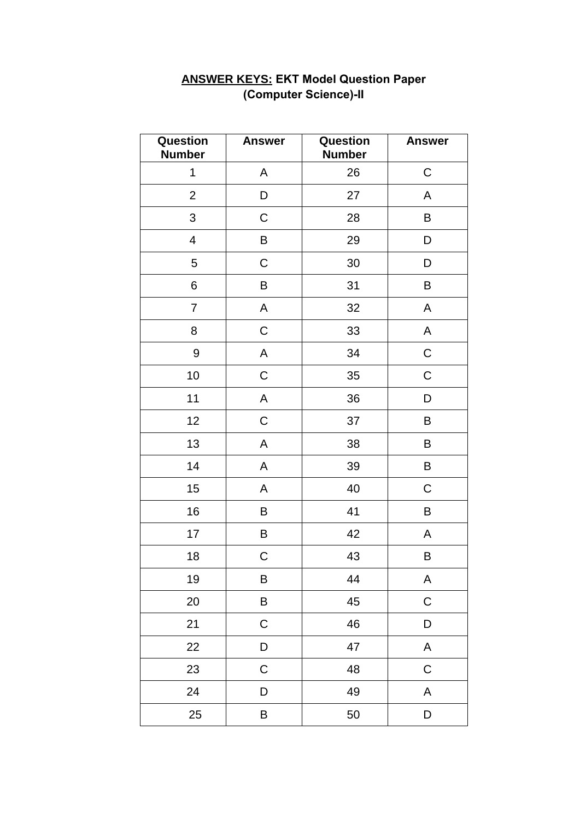| Question<br><b>Number</b> | <b>Answer</b> | Question<br><b>Number</b> | <b>Answer</b> |
|---------------------------|---------------|---------------------------|---------------|
| 1                         | A             | 26                        | $\mathsf C$   |
| $\overline{c}$            | D             | 27                        | A             |
| 3                         | $\mathsf C$   | 28                        | $\sf B$       |
| $\overline{\mathbf{4}}$   | B             | 29                        | D             |
| 5                         | C             | 30 <sup>°</sup>           | D             |
| 6                         | B             | 31                        | $\sf B$       |
| $\overline{7}$            | A             | 32                        | A             |
| 8                         | $\mathsf C$   | 33                        | A             |
| 9                         | A             | 34                        | $\mathsf C$   |
| 10                        | $\mathsf C$   | 35                        | $\mathsf C$   |
| 11                        | $\mathsf A$   | 36                        | D             |
| 12                        | $\mathsf C$   | 37                        | B             |
| 13                        | A             | 38                        | B             |
| 14                        | A             | 39                        | B             |
| 15                        | A             | 40                        | $\mathsf C$   |
| 16                        | B             | 41                        | B             |
| 17                        | B             | 42                        | А             |
| 18                        | $\mathsf C$   | 43                        | B             |
| 19                        | B             | 44                        | $\mathsf A$   |
| 20                        | B             | 45                        | $\mathsf C$   |
| 21                        | $\mathsf C$   | 46                        | D             |
| 22                        | D             | 47                        | A             |
| 23                        | $\mathsf C$   | 48                        | $\mathsf C$   |
| 24                        | D             | 49                        | A             |
| 25                        | B             | 50                        | D             |

#### **ANSWER KEYS: EKT Model Question Paper (Computer Science)-II**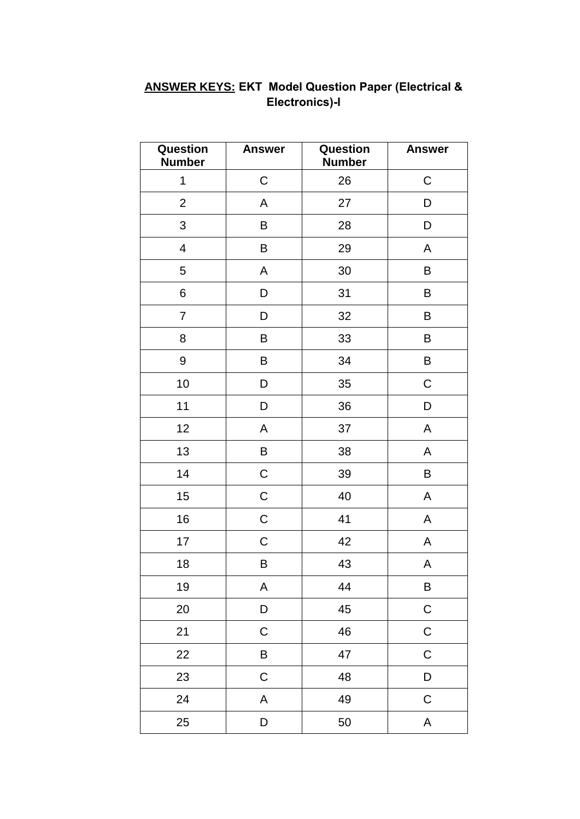| Question<br><b>Number</b> | <b>Answer</b> | Question<br><b>Number</b> | <b>Answer</b>             |
|---------------------------|---------------|---------------------------|---------------------------|
| $\mathbf 1$               | $\mathsf C$   | 26                        | $\mathsf C$               |
| $\mathbf{2}$              | A             | 27                        | D                         |
| $\mathfrak{S}$            | B             | 28                        | $\mathsf D$               |
| $\overline{\mathbf{4}}$   | В             | 29                        | A                         |
| 5                         | A             | 30                        | B                         |
| 6                         | D             | 31                        | B                         |
| $\overline{7}$            | D             | 32                        | B                         |
| 8                         | В             | 33                        | B                         |
| $\boldsymbol{9}$          | B             | 34                        | B                         |
| 10                        | D             | 35                        | $\mathsf C$               |
| 11                        | D             | 36                        | D                         |
| 12                        | A             | 37                        | A                         |
| 13                        | B             | 38                        | A                         |
| 14                        | $\mathsf C$   | 39                        | B                         |
| 15                        | $\mathsf C$   | 40                        | A                         |
| 16                        | $\mathsf C$   | 41                        | A                         |
| 17                        | $\mathsf C$   | 42                        | A                         |
| 18                        | B             | 43                        | A                         |
| 19                        | A             | 44                        | B                         |
| 20                        | D             | 45                        | $\mathsf C$               |
| 21                        | $\mathsf C$   | 46                        | $\mathsf C$               |
| 22                        | B             | 47                        | $\mathsf C$               |
| 23                        | $\mathsf C$   | 48                        | D                         |
| 24                        | A             | 49                        | $\mathsf C$               |
| 25                        | D             | 50                        | $\boldsymbol{\mathsf{A}}$ |

# **ANSWER KEYS: EKT Model Question Paper (Electrical &** Electronics)-I